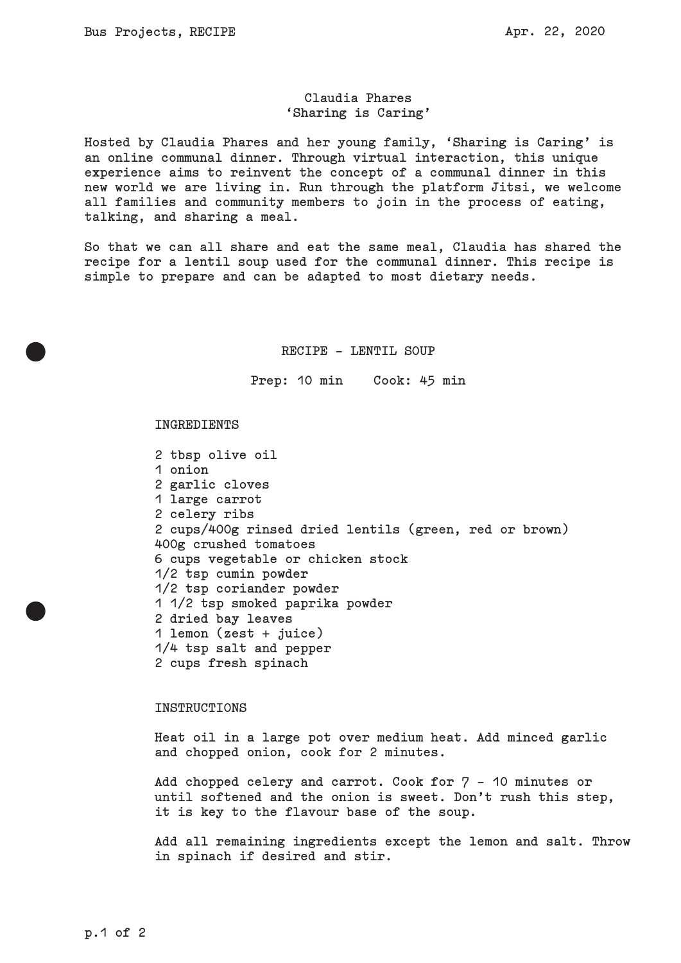# **Claudia Phares 'Sharing is Caring'**

**Hosted by Claudia Phares and her young family, 'Sharing is Caring' is an online communal dinner. Through virtual interaction, this unique experience aims to reinvent the concept of a communal dinner in this new world we are living in. Run through the platform Jitsi, we welcome all families and community members to join in the process of eating, talking, and sharing a meal.**

**So that we can all share and eat the same meal, Claudia has shared the recipe for a lentil soup used for the communal dinner. This recipe is simple to prepare and can be adapted to most dietary needs.**

## **RECIPE - LENTIL SOUP**

**Prep: 10 min Cook: 45 min** 

#### **INGREDIENTS**

**2 tbsp olive oil 1 onion 2 garlic cloves 1 large carrot 2 celery ribs 2 cups/400g rinsed dried lentils (green, red or brown) 400g crushed tomatoes 6 cups vegetable or chicken stock 1/2 tsp cumin powder 1/2 tsp coriander powder 1 1/2 tsp smoked paprika powder 2 dried bay leaves 1 lemon (zest + juice) 1/4 tsp salt and pepper 2 cups fresh spinach**

### **INSTRUCTIONS**

**Heat oil in a large pot over medium heat. Add minced garlic and chopped onion, cook for 2 minutes.**

**Add chopped celery and carrot. Cook for 7 - 10 minutes or until softened and the onion is sweet. Don't rush this step, it is key to the flavour base of the soup.**

**Add all remaining ingredients except the lemon and salt. Throw in spinach if desired and stir.**